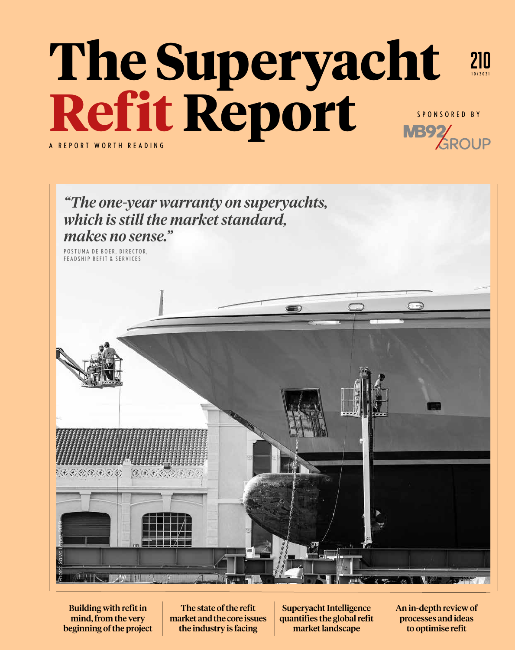## **The Superyacht Refit Report** 210 10/2021 A REPORT WORTH READING SPONSORED BY



Building with refit in mind, from the very beginning of the project

The state of the refit market and the core issues the industry is facing

Superyacht Intelligence quantifies the global refit market landscape

An in-depth review of processes and ideas to optimise refit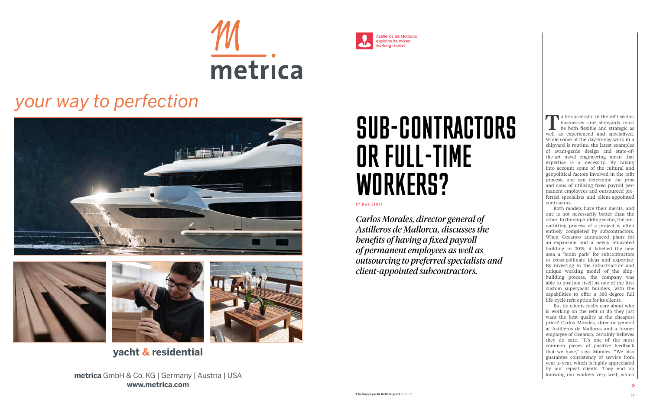

Astilleros de Mallorca explains its mixed working model

## SUB-CONTRACTORS OR FULL-TIME WORKERS?

BY MAX STOTT

*Carlos Morales, director general of Astilleros de Mallorca, discusses the benefits of having a fixed payroll of permanent employees as well as outsourcing to preferred specialists and client-appointed subcontractors.*

to be successful in the refit sector, businesses and shipyards must be both flexible and strategic as well as experienced and specialised. While some of the day-to-day work in a shipyard is routine, the latest examples of avant-garde design and state-ofthe-art naval engineering mean that expertise is a necessity. By taking into account some of the cultural and geopolitical factors involved in the refit process, one can determine the pros and cons of utilising fixed payroll permanent employees and outsourced preferred specialists and client-appointed contractors.

Both models have their merits, and one is not necessarily better than the other. In the shipbuilding sector, the preoutfitting process of a project is often entirely completed by subcontractors. When Oceanco announced plans for an expansion and a newly renovated building in 2019, it labelled the new area a 'brain park' for subcontractors to cross-pollinate ideas and expertise. By investing in the infrastructure and unique working model of the shipbuilding process, the company was able to position itself as one of the first custom superyacht builders, with the capabilities to offer a 360-degree full life-cycle refit option for its clients.

But do clients really care about who is working on the refit or do they just want the best quality at the cheapest price? Carlos Morales, director general at Astilleros de Mallorca and a former employee of Oceanco, certainly believes they do care. "It's one of the most common pieces of positive feedback that we have," says Morales. "We also guarantee consistency of service from year to year, which is highly appreciated by our repeat clients. They end up knowing our workers very well, which